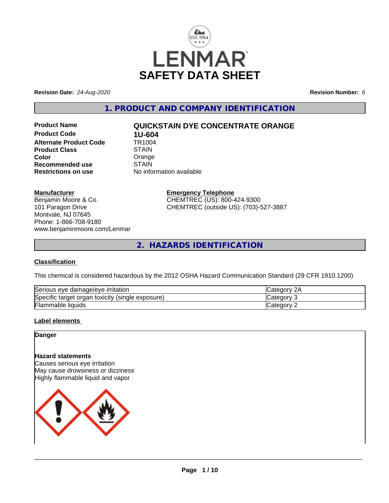

**Revision Date:** *24-Aug-2020* **Revision Number:** *6*

**1. PRODUCT AND COMPANY IDENTIFICATION**

**Product Code 1U-604**<br>**Alternate Product Code 1R1004 Alternate Product Code Product Class STAIN Color** Color Color Color<br>
Recommended use STAIN **Recommended use**<br>Restrictions on use

# **Product Name QUICKSTAIN DYE CONCENTRATE ORANGE**

**No information available** 

## **Manufacturer**

Benjamin Moore & Co. 101 Paragon Drive Montvale, NJ 07645 Phone: 1-866-708-9180 www.benjaminmoore.com/Lenmar

#### **Emergency Telephone** CHEMTREC (US): 800-424-9300 CHEMTREC (outside US): (703)-527-3887

**2. HAZARDS IDENTIFICATION**

### **Classification**

This chemical is considered hazardous by the 2012 OSHA Hazard Communication Standard (29 CFR 1910.1200)

| $\sim$                                                           | ົດ ^                 |
|------------------------------------------------------------------|----------------------|
| e damage/eve irritation                                          | $\sim$ $\sim$ $\sim$ |
| Serious eve                                                      | וחר                  |
| Specific<br>exposure)<br>toxicity<br>organ<br>(single)<br>target | ≀ח∩r                 |
| ╺                                                                | : ategor             |
| Flammable liquids                                                | -                    |

# **Label elements**

**Danger**

# **Hazard statements**

Causes serious eye irritation May cause drowsiness or dizziness Highly flammable liquid and vapor

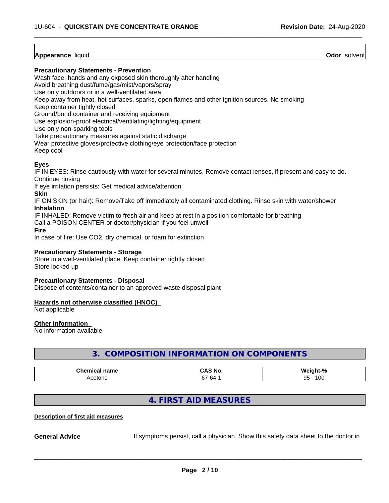# **Appearance** liquid **Odor** solvent

## **Precautionary Statements - Prevention**

Wash face, hands and any exposed skin thoroughly after handling

Avoid breathing dust/fume/gas/mist/vapors/spray

Use only outdoors or in a well-ventilated area

Keep away from heat, hot surfaces, sparks, open flames and other ignition sources. No smoking

Keep container tightly closed

Ground/bond container and receiving equipment

Use explosion-proof electrical/ventilating/lighting/equipment

Use only non-sparking tools

Take precautionary measures against static discharge

Wear protective gloves/protective clothing/eye protection/face protection

Keep cool

# **Eyes**

IF IN EYES: Rinse cautiously with water for several minutes. Remove contact lenses, if present and easy to do. Continue rinsing

 $\overline{\phantom{a}}$  ,  $\overline{\phantom{a}}$  ,  $\overline{\phantom{a}}$  ,  $\overline{\phantom{a}}$  ,  $\overline{\phantom{a}}$  ,  $\overline{\phantom{a}}$  ,  $\overline{\phantom{a}}$  ,  $\overline{\phantom{a}}$  ,  $\overline{\phantom{a}}$  ,  $\overline{\phantom{a}}$  ,  $\overline{\phantom{a}}$  ,  $\overline{\phantom{a}}$  ,  $\overline{\phantom{a}}$  ,  $\overline{\phantom{a}}$  ,  $\overline{\phantom{a}}$  ,  $\overline{\phantom{a}}$ 

If eye irritation persists: Get medical advice/attention

**Skin**

IF ON SKIN (or hair): Remove/Take off immediately all contaminated clothing. Rinse skin with water/shower **Inhalation**

IF INHALED: Remove victim to fresh air and keep at rest in a position comfortable for breathing

Call a POISON CENTER or doctor/physician if you feel unwell

**Fire**

In case of fire: Use CO2, dry chemical, or foam for extinction

## **Precautionary Statements - Storage**

Store in a well-ventilated place. Keep container tightly closed Store locked up

#### **Precautionary Statements - Disposal**

Dispose of contents/container to an approved waste disposal plant

#### **Hazards not otherwise classified (HNOC)**

Not applicable

#### **Other information**

No information available

# **3. COMPOSITION INFORMATION ON COMPONENTS**

| $Th$ $mn$     | . У                           | O.                 |
|---------------|-------------------------------|--------------------|
| ;hemical name | ∶ No                          | .                  |
| .             | um                            | 70                 |
| Acetone       | $-$<br>-n4-<br>ີນ.<br>$\cdot$ | 100<br>$QF$ .<br>ື |

# **4. FIRST AID MEASURES**

#### **Description of first aid measures**

**General Advice** If symptoms persist, call a physician. Show this safety data sheet to the doctor in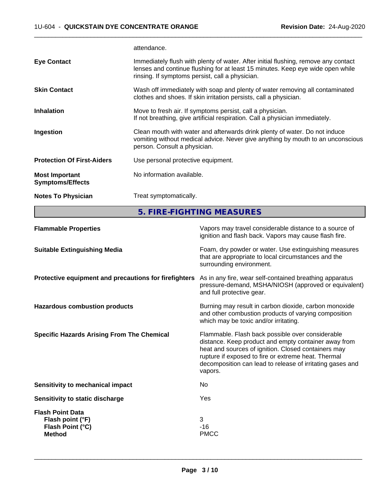attendance.

|                                                  | 5. FIRE-FIGHTING MEASURES                                                                                                                                                                                               |  |
|--------------------------------------------------|-------------------------------------------------------------------------------------------------------------------------------------------------------------------------------------------------------------------------|--|
| <b>Notes To Physician</b>                        | Treat symptomatically.                                                                                                                                                                                                  |  |
| <b>Most Important</b><br><b>Symptoms/Effects</b> | No information available.                                                                                                                                                                                               |  |
| <b>Protection Of First-Aiders</b>                | Use personal protective equipment.                                                                                                                                                                                      |  |
| Ingestion                                        | Clean mouth with water and afterwards drink plenty of water. Do not induce<br>vomiting without medical advice. Never give anything by mouth to an unconscious<br>person. Consult a physician.                           |  |
| <b>Inhalation</b>                                | Move to fresh air. If symptoms persist, call a physician.<br>If not breathing, give artificial respiration. Call a physician immediately.                                                                               |  |
| <b>Skin Contact</b>                              | Wash off immediately with soap and plenty of water removing all contaminated<br>clothes and shoes. If skin irritation persists, call a physician.                                                                       |  |
| <b>Eye Contact</b>                               | Immediately flush with plenty of water. After initial flushing, remove any contact<br>lenses and continue flushing for at least 15 minutes. Keep eye wide open while<br>rinsing. If symptoms persist, call a physician. |  |
|                                                  |                                                                                                                                                                                                                         |  |

 $\overline{\phantom{a}}$  ,  $\overline{\phantom{a}}$  ,  $\overline{\phantom{a}}$  ,  $\overline{\phantom{a}}$  ,  $\overline{\phantom{a}}$  ,  $\overline{\phantom{a}}$  ,  $\overline{\phantom{a}}$  ,  $\overline{\phantom{a}}$  ,  $\overline{\phantom{a}}$  ,  $\overline{\phantom{a}}$  ,  $\overline{\phantom{a}}$  ,  $\overline{\phantom{a}}$  ,  $\overline{\phantom{a}}$  ,  $\overline{\phantom{a}}$  ,  $\overline{\phantom{a}}$  ,  $\overline{\phantom{a}}$ 

| <b>Flammable Properties</b>                                                      | Vapors may travel considerable distance to a source of<br>ignition and flash back. Vapors may cause flash fire.                                                                                                                                                                                |
|----------------------------------------------------------------------------------|------------------------------------------------------------------------------------------------------------------------------------------------------------------------------------------------------------------------------------------------------------------------------------------------|
| <b>Suitable Extinguishing Media</b>                                              | Foam, dry powder or water. Use extinguishing measures<br>that are appropriate to local circumstances and the<br>surrounding environment.                                                                                                                                                       |
| Protective equipment and precautions for firefighters                            | As in any fire, wear self-contained breathing apparatus<br>pressure-demand, MSHA/NIOSH (approved or equivalent)<br>and full protective gear.                                                                                                                                                   |
| <b>Hazardous combustion products</b>                                             | Burning may result in carbon dioxide, carbon monoxide<br>and other combustion products of varying composition<br>which may be toxic and/or irritating.                                                                                                                                         |
| <b>Specific Hazards Arising From The Chemical</b>                                | Flammable. Flash back possible over considerable<br>distance. Keep product and empty container away from<br>heat and sources of ignition. Closed containers may<br>rupture if exposed to fire or extreme heat. Thermal<br>decomposition can lead to release of irritating gases and<br>vapors. |
| <b>Sensitivity to mechanical impact</b>                                          | No.                                                                                                                                                                                                                                                                                            |
| <b>Sensitivity to static discharge</b>                                           | Yes                                                                                                                                                                                                                                                                                            |
| <b>Flash Point Data</b><br>Flash point (°F)<br>Flash Point (°C)<br><b>Method</b> | 3<br>-16<br><b>PMCC</b>                                                                                                                                                                                                                                                                        |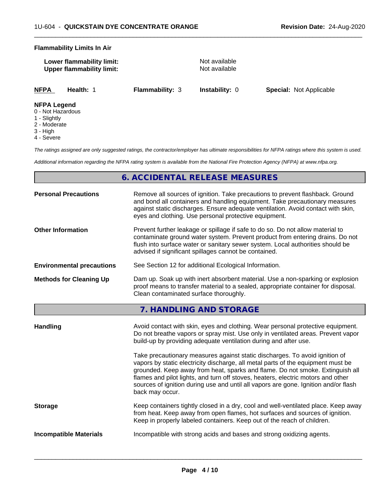#### **Flammability Limits In Air**

| Lower flammability limit:        |  |
|----------------------------------|--|
| <b>Upper flammability limit:</b> |  |

**Not available Not available** 

 $\overline{\phantom{a}}$  ,  $\overline{\phantom{a}}$  ,  $\overline{\phantom{a}}$  ,  $\overline{\phantom{a}}$  ,  $\overline{\phantom{a}}$  ,  $\overline{\phantom{a}}$  ,  $\overline{\phantom{a}}$  ,  $\overline{\phantom{a}}$  ,  $\overline{\phantom{a}}$  ,  $\overline{\phantom{a}}$  ,  $\overline{\phantom{a}}$  ,  $\overline{\phantom{a}}$  ,  $\overline{\phantom{a}}$  ,  $\overline{\phantom{a}}$  ,  $\overline{\phantom{a}}$  ,  $\overline{\phantom{a}}$ 

**NFPA Health:** 1 **Flammability:** 3 **Instability:** 0 **Special:** Not Applicable

#### **NFPA Legend**

- 0 Not Hazardous
- 1 Slightly
- 2 Moderate
- 3 High
- 4 Severe

*The ratings assigned are only suggested ratings, the contractor/employer has ultimate responsibilities for NFPA ratings where this system is used.*

*Additional information regarding the NFPA rating system is available from the National Fire Protection Agency (NFPA) at www.nfpa.org.*

# **6. ACCIDENTAL RELEASE MEASURES**

| <b>Personal Precautions</b>      | Remove all sources of ignition. Take precautions to prevent flashback. Ground<br>and bond all containers and handling equipment. Take precautionary measures<br>against static discharges. Ensure adequate ventilation. Avoid contact with skin,<br>eyes and clothing. Use personal protective equipment.  |
|----------------------------------|------------------------------------------------------------------------------------------------------------------------------------------------------------------------------------------------------------------------------------------------------------------------------------------------------------|
| <b>Other Information</b>         | Prevent further leakage or spillage if safe to do so. Do not allow material to<br>contaminate ground water system. Prevent product from entering drains. Do not<br>flush into surface water or sanitary sewer system. Local authorities should be<br>advised if significant spillages cannot be contained. |
| <b>Environmental precautions</b> | See Section 12 for additional Ecological Information.                                                                                                                                                                                                                                                      |
| <b>Methods for Cleaning Up</b>   | Dam up. Soak up with inert absorbent material. Use a non-sparking or explosion<br>proof means to transfer material to a sealed, appropriate container for disposal.<br>Clean contaminated surface thoroughly.                                                                                              |
|                                  |                                                                                                                                                                                                                                                                                                            |

**7. HANDLING AND STORAGE**

| Handling                      | Avoid contact with skin, eyes and clothing. Wear personal protective equipment.<br>Do not breathe vapors or spray mist. Use only in ventilated areas. Prevent vapor<br>build-up by providing adequate ventilation during and after use.                                                                                                                                                                                                        |
|-------------------------------|------------------------------------------------------------------------------------------------------------------------------------------------------------------------------------------------------------------------------------------------------------------------------------------------------------------------------------------------------------------------------------------------------------------------------------------------|
|                               | Take precautionary measures against static discharges. To avoid ignition of<br>vapors by static electricity discharge, all metal parts of the equipment must be<br>grounded. Keep away from heat, sparks and flame. Do not smoke. Extinguish all<br>flames and pilot lights, and turn off stoves, heaters, electric motors and other<br>sources of ignition during use and until all vapors are gone. Ignition and/or flash<br>back may occur. |
| <b>Storage</b>                | Keep containers tightly closed in a dry, cool and well-ventilated place. Keep away<br>from heat. Keep away from open flames, hot surfaces and sources of ignition.<br>Keep in properly labeled containers. Keep out of the reach of children.                                                                                                                                                                                                  |
| <b>Incompatible Materials</b> | Incompatible with strong acids and bases and strong oxidizing agents.                                                                                                                                                                                                                                                                                                                                                                          |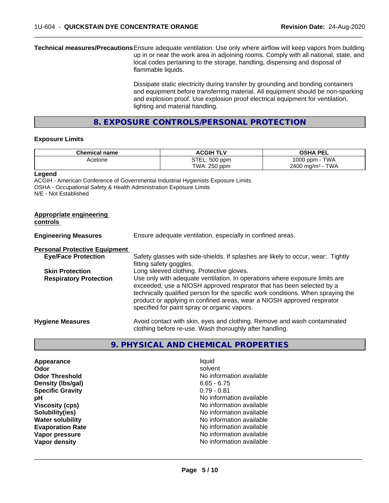**Technical measures/Precautions**Ensure adequate ventilation. Use only where airflow will keep vapors from building up in or near the work area in adjoining rooms. Comply with all national, state, and local codes pertaining to the storage, handling, dispensing and disposal of flammable liquids.

> Dissipate static electricity during transfer by grounding and bonding containers and equipment before transferring material. All equipment should be non-sparking and explosion proof. Use explosion proof electrical equipment for ventilation, lighting and material handling.

 $\overline{\phantom{a}}$  ,  $\overline{\phantom{a}}$  ,  $\overline{\phantom{a}}$  ,  $\overline{\phantom{a}}$  ,  $\overline{\phantom{a}}$  ,  $\overline{\phantom{a}}$  ,  $\overline{\phantom{a}}$  ,  $\overline{\phantom{a}}$  ,  $\overline{\phantom{a}}$  ,  $\overline{\phantom{a}}$  ,  $\overline{\phantom{a}}$  ,  $\overline{\phantom{a}}$  ,  $\overline{\phantom{a}}$  ,  $\overline{\phantom{a}}$  ,  $\overline{\phantom{a}}$  ,  $\overline{\phantom{a}}$ 

**8. EXPOSURE CONTROLS/PERSONAL PROTECTION**

#### **Exposure Limits**

| <b>Chemical name</b> | <b>ACGIH</b><br>$\mathbf{L}$ | <b>OSHA PEL</b>                |
|----------------------|------------------------------|--------------------------------|
| Acetone              | STEL: 500 ppm                | <b>TWA</b><br>1000<br>J ppm -  |
|                      | TWA: 250 ppm                 | TWA<br>$2400 \; \text{ma/m}^3$ |

**Legend**

ACGIH - American Conference of Governmental Industrial Hygienists Exposure Limits OSHA - Occupational Safety & Health Administration Exposure Limits N/E - Not Established

| Appropriate engineering<br>controls  |                                                                                                                                                                                                                                                                                                                                                                     |
|--------------------------------------|---------------------------------------------------------------------------------------------------------------------------------------------------------------------------------------------------------------------------------------------------------------------------------------------------------------------------------------------------------------------|
| <b>Engineering Measures</b>          | Ensure adequate ventilation, especially in confined areas.                                                                                                                                                                                                                                                                                                          |
| <b>Personal Protective Equipment</b> |                                                                                                                                                                                                                                                                                                                                                                     |
| <b>Eye/Face Protection</b>           | Safety glasses with side-shields. If splashes are likely to occur, wear:. Tightly<br>fitting safety goggles.                                                                                                                                                                                                                                                        |
| <b>Skin Protection</b>               | Long sleeved clothing. Protective gloves.                                                                                                                                                                                                                                                                                                                           |
| <b>Respiratory Protection</b>        | Use only with adequate ventilation. In operations where exposure limits are<br>exceeded, use a NIOSH approved respirator that has been selected by a<br>technically qualified person for the specific work conditions. When spraying the<br>product or applying in confined areas, wear a NIOSH approved respirator<br>specified for paint spray or organic vapors. |
| <b>Hygiene Measures</b>              | Avoid contact with skin, eyes and clothing. Remove and wash contaminated<br>clothing before re-use. Wash thoroughly after handling.                                                                                                                                                                                                                                 |

# **9. PHYSICAL AND CHEMICAL PROPERTIES**

| liquid                   |
|--------------------------|
| solvent                  |
| No information available |
| $6.65 - 6.75$            |
| $0.79 - 0.81$            |
| No information available |
| No information available |
| No information available |
| No information available |
| No information available |
| No information available |
| No information available |
|                          |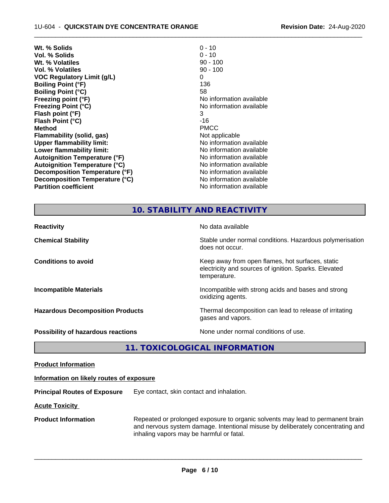| Wt. % Solids                         | $0 - 10$                 |
|--------------------------------------|--------------------------|
| Vol. % Solids                        | $0 - 10$                 |
| Wt. % Volatiles                      | $90 - 100$               |
| Vol. % Volatiles                     | $90 - 100$               |
| <b>VOC Regulatory Limit (g/L)</b>    | 0                        |
| <b>Boiling Point (°F)</b>            | 136                      |
| <b>Boiling Point (°C)</b>            | 58                       |
| Freezing point (°F)                  | No information available |
| <b>Freezing Point (°C)</b>           | No information available |
| Flash point (°F)                     | 3                        |
| Flash Point (°C)                     | -16                      |
| <b>Method</b>                        | <b>PMCC</b>              |
| Flammability (solid, gas)            | Not applicable           |
| <b>Upper flammability limit:</b>     | No information available |
| Lower flammability limit:            | No information available |
| <b>Autoignition Temperature (°F)</b> | No information available |
| <b>Autoignition Temperature (°C)</b> | No information available |
| Decomposition Temperature (°F)       | No information available |
| Decomposition Temperature (°C)       | No information available |
| <b>Partition coefficient</b>         | No information available |
|                                      |                          |

 $\overline{\phantom{a}}$  ,  $\overline{\phantom{a}}$  ,  $\overline{\phantom{a}}$  ,  $\overline{\phantom{a}}$  ,  $\overline{\phantom{a}}$  ,  $\overline{\phantom{a}}$  ,  $\overline{\phantom{a}}$  ,  $\overline{\phantom{a}}$  ,  $\overline{\phantom{a}}$  ,  $\overline{\phantom{a}}$  ,  $\overline{\phantom{a}}$  ,  $\overline{\phantom{a}}$  ,  $\overline{\phantom{a}}$  ,  $\overline{\phantom{a}}$  ,  $\overline{\phantom{a}}$  ,  $\overline{\phantom{a}}$ 

# **10. STABILITY AND REACTIVITY**

| <b>Reactivity</b>                       | No data available                                                                                                         |
|-----------------------------------------|---------------------------------------------------------------------------------------------------------------------------|
| <b>Chemical Stability</b>               | Stable under normal conditions. Hazardous polymerisation<br>does not occur.                                               |
| <b>Conditions to avoid</b>              | Keep away from open flames, hot surfaces, static<br>electricity and sources of ignition. Sparks. Elevated<br>temperature. |
| <b>Incompatible Materials</b>           | Incompatible with strong acids and bases and strong<br>oxidizing agents.                                                  |
| <b>Hazardous Decomposition Products</b> | Thermal decomposition can lead to release of irritating<br>gases and vapors.                                              |
| Possibility of hazardous reactions      | None under normal conditions of use.                                                                                      |

**11. TOXICOLOGICAL INFORMATION**

**Product Information**

#### **Information on likely routes of exposure**

**Principal Routes of Exposure** Eye contact, skin contact and inhalation.

**Acute Toxicity** 

**Product Information** Repeated or prolonged exposure to organic solvents may lead to permanent brain and nervous system damage. Intentional misuse by deliberately concentrating and inhaling vapors may be harmful or fatal.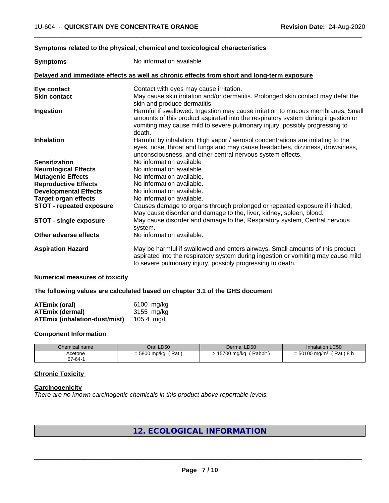## **Symptoms related to the physical,chemical and toxicological characteristics**

| <b>Symptoms</b>                 | No information available                                                                                                                                                                                                                            |  |  |
|---------------------------------|-----------------------------------------------------------------------------------------------------------------------------------------------------------------------------------------------------------------------------------------------------|--|--|
|                                 | Delayed and immediate effects as well as chronic effects from short and long-term exposure                                                                                                                                                          |  |  |
| Eye contact                     | Contact with eyes may cause irritation.                                                                                                                                                                                                             |  |  |
| <b>Skin contact</b>             | May cause skin irritation and/or dermatitis. Prolonged skin contact may defat the                                                                                                                                                                   |  |  |
|                                 | skin and produce dermatitis.                                                                                                                                                                                                                        |  |  |
| Ingestion                       | Harmful if swallowed. Ingestion may cause irritation to mucous membranes. Small<br>amounts of this product aspirated into the respiratory system during ingestion or<br>vomiting may cause mild to severe pulmonary injury, possibly progressing to |  |  |
|                                 | death.                                                                                                                                                                                                                                              |  |  |
| <b>Inhalation</b>               | Harmful by inhalation. High vapor / aerosol concentrations are irritating to the<br>eyes, nose, throat and lungs and may cause headaches, dizziness, drowsiness,                                                                                    |  |  |
|                                 | unconsciousness, and other central nervous system effects.                                                                                                                                                                                          |  |  |
| <b>Sensitization</b>            | No information available                                                                                                                                                                                                                            |  |  |
| <b>Neurological Effects</b>     | No information available.                                                                                                                                                                                                                           |  |  |
| <b>Mutagenic Effects</b>        | No information available.                                                                                                                                                                                                                           |  |  |
| <b>Reproductive Effects</b>     | No information available.                                                                                                                                                                                                                           |  |  |
| <b>Developmental Effects</b>    | No information available.                                                                                                                                                                                                                           |  |  |
| <b>Target organ effects</b>     | No information available.                                                                                                                                                                                                                           |  |  |
| <b>STOT - repeated exposure</b> | Causes damage to organs through prolonged or repeated exposure if inhaled,<br>May cause disorder and damage to the, liver, kidney, spleen, blood.                                                                                                   |  |  |
| <b>STOT - single exposure</b>   | May cause disorder and damage to the, Respiratory system, Central nervous<br>system.                                                                                                                                                                |  |  |
| Other adverse effects           | No information available.                                                                                                                                                                                                                           |  |  |
| <b>Aspiration Hazard</b>        | May be harmful if swallowed and enters airways. Small amounts of this product<br>aspirated into the respiratory system during ingestion or vomiting may cause mild<br>to severe pulmonary injury, possibly progressing to death.                    |  |  |

 $\overline{\phantom{a}}$  ,  $\overline{\phantom{a}}$  ,  $\overline{\phantom{a}}$  ,  $\overline{\phantom{a}}$  ,  $\overline{\phantom{a}}$  ,  $\overline{\phantom{a}}$  ,  $\overline{\phantom{a}}$  ,  $\overline{\phantom{a}}$  ,  $\overline{\phantom{a}}$  ,  $\overline{\phantom{a}}$  ,  $\overline{\phantom{a}}$  ,  $\overline{\phantom{a}}$  ,  $\overline{\phantom{a}}$  ,  $\overline{\phantom{a}}$  ,  $\overline{\phantom{a}}$  ,  $\overline{\phantom{a}}$ 

### **Numerical measures of toxicity**

#### **The following values are calculated based on chapter 3.1 of the GHS document**

| <b>ATEmix (oral)</b>          | 6100 mg/ka |
|-------------------------------|------------|
| <b>ATEmix (dermal)</b>        | 3155 mg/kg |
| ATEmix (inhalation-dust/mist) | 105.4 ma/L |

#### **Component Information**

| Chemical name | Oral LD50           | Dermal LD50           | <b>Inhalation LC50</b>                  |
|---------------|---------------------|-----------------------|-----------------------------------------|
| Acetone       | Rat<br>= 5800 mg/kg | Rabbit<br>15700 mg/kg | (Rat)8 h<br>$= 50100$ mg/m <sup>3</sup> |
| 67-64-1       |                     |                       |                                         |

# **Chronic Toxicity**

#### **Carcinogenicity**

*There are no known carcinogenic chemicals in this product above reportable levels.*

# **12. ECOLOGICAL INFORMATION**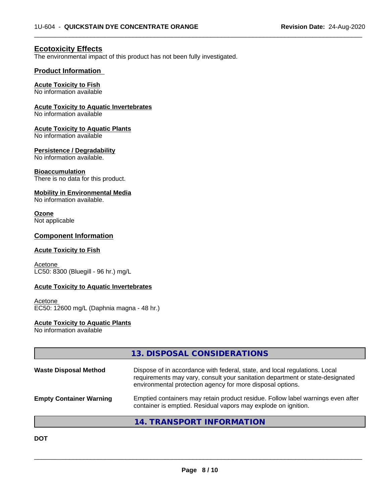$\overline{\phantom{a}}$  ,  $\overline{\phantom{a}}$  ,  $\overline{\phantom{a}}$  ,  $\overline{\phantom{a}}$  ,  $\overline{\phantom{a}}$  ,  $\overline{\phantom{a}}$  ,  $\overline{\phantom{a}}$  ,  $\overline{\phantom{a}}$  ,  $\overline{\phantom{a}}$  ,  $\overline{\phantom{a}}$  ,  $\overline{\phantom{a}}$  ,  $\overline{\phantom{a}}$  ,  $\overline{\phantom{a}}$  ,  $\overline{\phantom{a}}$  ,  $\overline{\phantom{a}}$  ,  $\overline{\phantom{a}}$ 

# **Ecotoxicity Effects**

The environmental impact of this product has not been fully investigated.

## **Product Information**

## **Acute Toxicity to Fish**

No information available

#### **Acute Toxicity to Aquatic Invertebrates**

No information available

#### **Acute Toxicity to Aquatic Plants**

No information available

#### **Persistence / Degradability**

No information available.

#### **Bioaccumulation**

There is no data for this product.

#### **Mobility in Environmental Media**

No information available.

# **Ozone**

Not applicable

# **Component Information**

#### **Acute Toxicity to Fish**

**Acetone** LC50: 8300 (Bluegill - 96 hr.) mg/L

### **Acute Toxicity to Aquatic Invertebrates**

Acetone EC50: 12600 mg/L (Daphnia magna - 48 hr.)

#### **Acute Toxicity to Aquatic Plants**

No information available

|                                | 13. DISPOSAL CONSIDERATIONS                                                                                                                                                                                               |
|--------------------------------|---------------------------------------------------------------------------------------------------------------------------------------------------------------------------------------------------------------------------|
| <b>Waste Disposal Method</b>   | Dispose of in accordance with federal, state, and local regulations. Local<br>requirements may vary, consult your sanitation department or state-designated<br>environmental protection agency for more disposal options. |
| <b>Empty Container Warning</b> | Emptied containers may retain product residue. Follow label warnings even after<br>container is emptied. Residual vapors may explode on ignition.                                                                         |
|                                | 14. TRANSPORT INFORMATION                                                                                                                                                                                                 |

**DOT**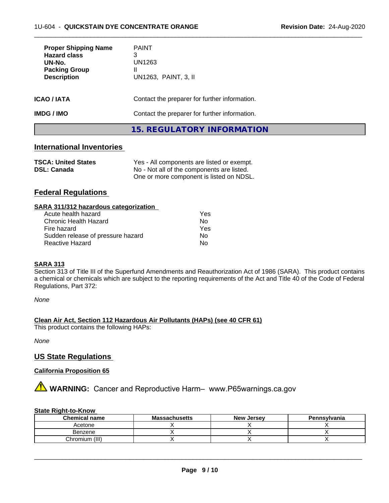| <b>Proper Shipping Name</b><br><b>Hazard class</b><br>UN-No.<br><b>Packing Group</b><br><b>Description</b> | <b>PAINT</b><br>3<br>UN1263<br>Ш<br>UN1263, PAINT, 3, II |
|------------------------------------------------------------------------------------------------------------|----------------------------------------------------------|
| ICAO / IATA                                                                                                | Contact the preparer for further information.            |
| IMDG / IMO                                                                                                 | Contact the preparer for further information.            |
|                                                                                                            | 15. REGULATORY INFORMATION                               |

 $\overline{\phantom{a}}$  ,  $\overline{\phantom{a}}$  ,  $\overline{\phantom{a}}$  ,  $\overline{\phantom{a}}$  ,  $\overline{\phantom{a}}$  ,  $\overline{\phantom{a}}$  ,  $\overline{\phantom{a}}$  ,  $\overline{\phantom{a}}$  ,  $\overline{\phantom{a}}$  ,  $\overline{\phantom{a}}$  ,  $\overline{\phantom{a}}$  ,  $\overline{\phantom{a}}$  ,  $\overline{\phantom{a}}$  ,  $\overline{\phantom{a}}$  ,  $\overline{\phantom{a}}$  ,  $\overline{\phantom{a}}$ 

# **International Inventories**

| <b>TSCA: United States</b> | Yes - All components are listed or exempt. |
|----------------------------|--------------------------------------------|
| <b>DSL: Canada</b>         | No - Not all of the components are listed. |
|                            | One or more component is listed on NDSL.   |

# **Federal Regulations**

| SARA 311/312 hazardous categorization |     |  |
|---------------------------------------|-----|--|
| Acute health hazard                   | Yes |  |
| Chronic Health Hazard                 | Nο  |  |
| Fire hazard                           | Yes |  |
| Sudden release of pressure hazard     | Nο  |  |

Reactive Hazard No. No. 2014

#### **SARA 313**

Section 313 of Title III of the Superfund Amendments and Reauthorization Act of 1986 (SARA). This product contains a chemical or chemicals which are subject to the reporting requirements of the Act and Title 40 of the Code of Federal Regulations, Part 372:

*None*

#### **Clean Air Act,Section 112 Hazardous Air Pollutants (HAPs) (see 40 CFR 61)**

This product contains the following HAPs:

*None*

# **US State Regulations**

## **California Proposition 65**

**AVIMARNING:** Cancer and Reproductive Harm– www.P65warnings.ca.gov

#### **State Right-to-Know**

| <b>Chemical name</b> | <b>Massachusetts</b> | <b>New Jersey</b> | Pennsylvania |
|----------------------|----------------------|-------------------|--------------|
| Acetone              |                      |                   |              |
| Benzene              |                      |                   |              |
| Chromium (III)       |                      |                   |              |